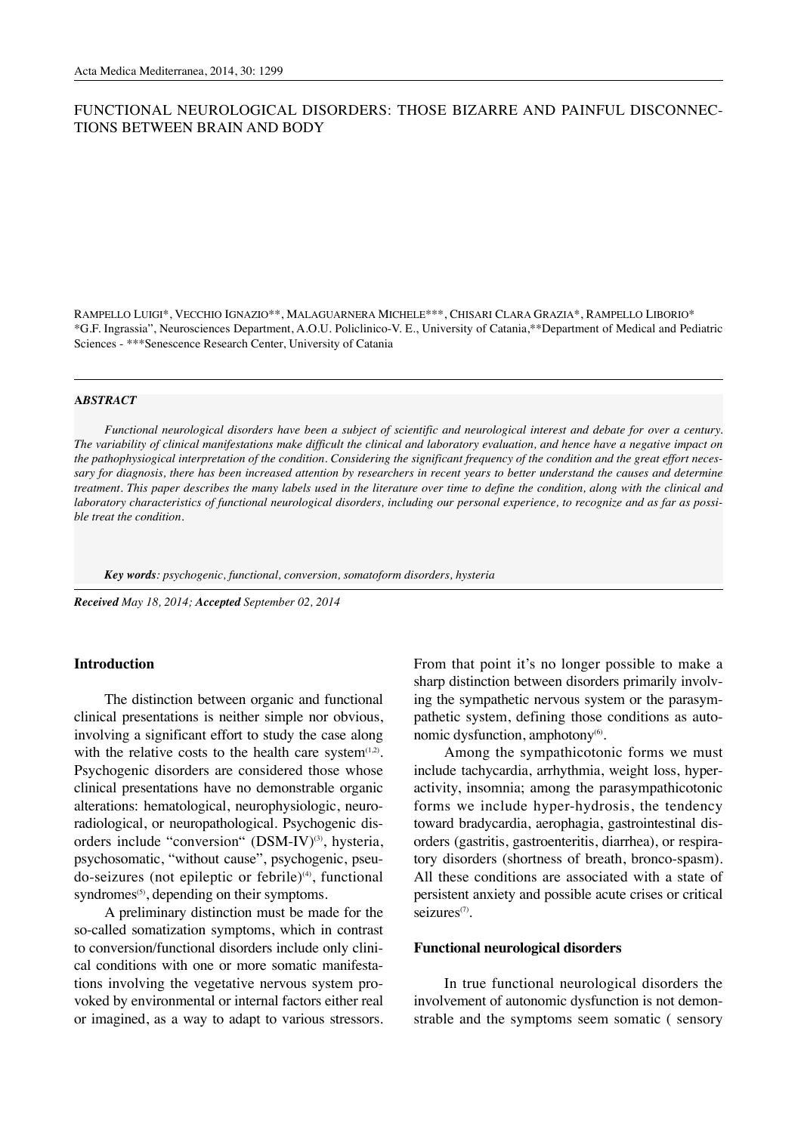# FUNCTIONAL NEUROLOGICAL DISORDERS: THOSE BIZARRE AND PAINFUL DISCONNEC-TIONS BETWEEN BRAIN AND BODY

RAMPELLO LUIGI\*, VECCHIO IGNAZIO\*\*, MALAGUARNERA MICHELE\*\*\*, CHISARI CLARA GRAZIA\*, RAMPELLO LIBORIO\* \*G.F. Ingrassia", Neurosciences Department, A.O.U. Policlinico-V. E., University of Catania,\*\*Department of Medical and Pediatric Sciences - \*\*\*Senescence Research Center, University of Catania

#### **A***BSTRACT*

*Functional neurological disorders have been a subject of scientific and neurological interest and debate for over a century. The variability of clinical manifestations make difficult the clinical and laboratory evaluation, and hence have a negative impact on the pathophysiogical interpretation of the condition. Considering the significant frequency of the condition and the great effort necessary for diagnosis, there has been increased attention by researchers in recent years to better understand the causes and determine treatment. This paper describes the many labels used in the literature over time to define the condition, along with the clinical and laboratory characteristics of functional neurological disorders, including our personal experience, to recognize and as far as possible treat the condition.*

*Key words: psychogenic, functional, conversion, somatoform disorders, hysteria*

*Received May 18, 2014; Accepted September 02, 2014*

### **Introduction**

The distinction between organic and functional clinical presentations is neither simple nor obvious, involving a significant effort to study the case along with the relative costs to the health care system $(1,2)$ . Psychogenic disorders are considered those whose clinical presentations have no demonstrable organic alterations: hematological, neurophysiologic, neuroradiological, or neuropathological. Psychogenic disorders include "conversion"  $(DSM-IV)^{(3)}$ , hysteria, psychosomatic, "without cause", psychogenic, pseudo-seizures (not epileptic or febrile)<sup>(4)</sup>, functional syndromes $(5)$ , depending on their symptoms.

A preliminary distinction must be made for the so-called somatization symptoms, which in contrast to conversion/functional disorders include only clinical conditions with one or more somatic manifestations involving the vegetative nervous system provoked by environmental or internal factors either real or imagined, as a way to adapt to various stressors.

From that point it's no longer possible to make a sharp distinction between disorders primarily involving the sympathetic nervous system or the parasympathetic system, defining those conditions as autonomic dysfunction, amphotony $(6)$ .

Among the sympathicotonic forms we must include tachycardia, arrhythmia, weight loss, hyperactivity, insomnia; among the parasympathicotonic forms we include hyper-hydrosis, the tendency toward bradycardia, aerophagia, gastrointestinal disorders (gastritis, gastroenteritis, diarrhea), or respiratory disorders (shortness of breath, bronco-spasm). All these conditions are associated with a state of persistent anxiety and possible acute crises or critical seizures<sup>(7)</sup>.

## **Functional neurological disorders**

In true functional neurological disorders the involvement of autonomic dysfunction is not demonstrable and the symptoms seem somatic ( sensory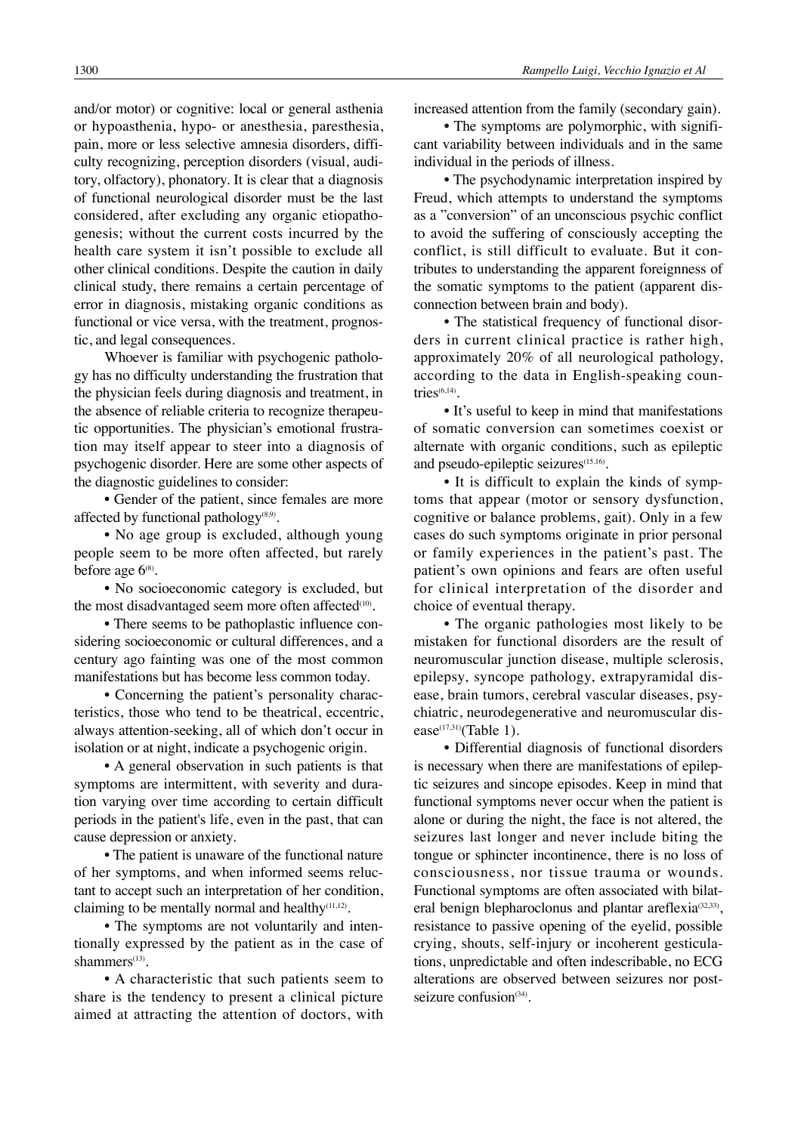and/or motor) or cognitive: local or general asthenia or hypoasthenia, hypo- or anesthesia, paresthesia, pain, more or less selective amnesia disorders, difficulty recognizing, perception disorders (visual, auditory, olfactory), phonatory. It is clear that a diagnosis of functional neurological disorder must be the last considered, after excluding any organic etiopathogenesis; without the current costs incurred by the health care system it isn't possible to exclude all other clinical conditions. Despite the caution in daily clinical study, there remains a certain percentage of error in diagnosis, mistaking organic conditions as functional or vice versa, with the treatment, prognostic, and legal consequences.

Whoever is familiar with psychogenic pathology has no difficulty understanding the frustration that the physician feels during diagnosis and treatment, in the absence of reliable criteria to recognize therapeutic opportunities. The physician's emotional frustration may itself appear to steer into a diagnosis of psychogenic disorder. Here are some other aspects of the diagnostic guidelines to consider:

• Gender of the patient, since females are more affected by functional pathology $(8,9)$ .

• No age group is excluded, although young people seem to be more often affected, but rarely before age  $6^{(8)}$ .

• No socioeconomic category is excluded, but the most disadvantaged seem more often affected $(10)$ .

• There seems to be pathoplastic influence considering socioeconomic or cultural differences, and a century ago fainting was one of the most common manifestations but has become less common today.

• Concerning the patient's personality characteristics, those who tend to be theatrical, eccentric, always attention-seeking, all of which don't occur in isolation or at night, indicate a psychogenic origin.

• A general observation in such patients is that symptoms are intermittent, with severity and duration varying over time according to certain difficult periods in the patient's life, even in the past, that can cause depression or anxiety.

• The patient is unaware of the functional nature of her symptoms, and when informed seems reluctant to accept such an interpretation of her condition, claiming to be mentally normal and healthy $(11,12)$ .

• The symptoms are not voluntarily and intentionally expressed by the patient as in the case of shammers<sup>(13)</sup>.

• A characteristic that such patients seem to share is the tendency to present a clinical picture aimed at attracting the attention of doctors, with increased attention from the family (secondary gain).

• The symptoms are polymorphic, with significant variability between individuals and in the same individual in the periods of illness.

• The psychodynamic interpretation inspired by Freud, which attempts to understand the symptoms as a "conversion" of an unconscious psychic conflict to avoid the suffering of consciously accepting the conflict, is still difficult to evaluate. But it contributes to understanding the apparent foreignness of the somatic symptoms to the patient (apparent disconnection between brain and body).

• The statistical frequency of functional disorders in current clinical practice is rather high, approximately 20% of all neurological pathology, according to the data in English-speaking countries $<sup>(6,14)</sup>$ .</sup>

• It's useful to keep in mind that manifestations of somatic conversion can sometimes coexist or alternate with organic conditions, such as epileptic and pseudo-epileptic seizures<sup>(15,16)</sup>.

• It is difficult to explain the kinds of symptoms that appear (motor or sensory dysfunction, cognitive or balance problems, gait). Only in a few cases do such symptoms originate in prior personal or family experiences in the patient's past. The patient's own opinions and fears are often useful for clinical interpretation of the disorder and choice of eventual therapy.

• The organic pathologies most likely to be mistaken for functional disorders are the result of neuromuscular junction disease, multiple sclerosis, epilepsy, syncope pathology, extrapyramidal disease, brain tumors, cerebral vascular diseases, psychiatric, neurodegenerative and neuromuscular disease $(17,31)$ (Table 1).

• Differential diagnosis of functional disorders is necessary when there are manifestations of epileptic seizures and sincope episodes. Keep in mind that functional symptoms never occur when the patient is alone or during the night, the face is not altered, the seizures last longer and never include biting the tongue or sphincter incontinence, there is no loss of consciousness, nor tissue trauma or wounds. Functional symptoms are often associated with bilateral benign blepharoclonus and plantar areflexia<sup>(32,33)</sup>, resistance to passive opening of the eyelid, possible crying, shouts, self-injury or incoherent gesticulations, unpredictable and often indescribable, no ECG alterations are observed between seizures nor postseizure confusion $(34)$ .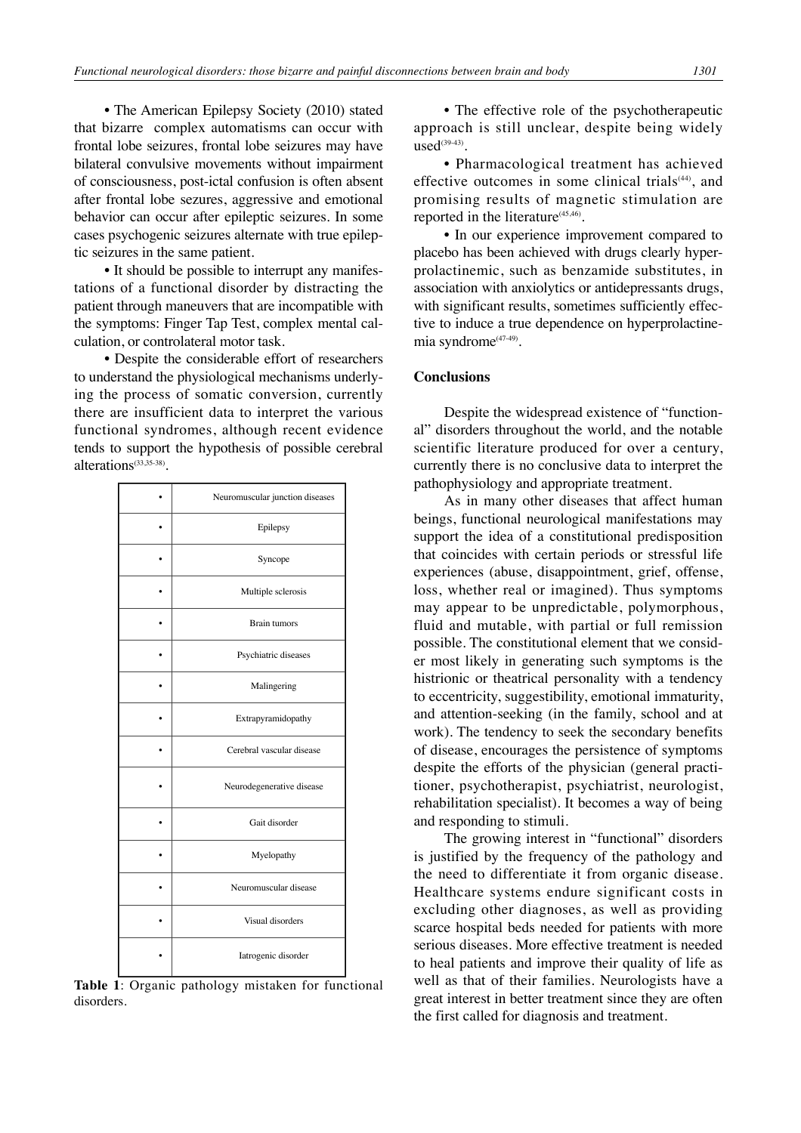• The American Epilepsy Society (2010) stated that bizarre complex automatisms can occur with frontal lobe seizures, frontal lobe seizures may have bilateral convulsive movements without impairment of consciousness, post-ictal confusion is often absent after frontal lobe sezures, aggressive and emotional behavior can occur after epileptic seizures. In some cases psychogenic seizures alternate with true epileptic seizures in the same patient.

• It should be possible to interrupt any manifestations of a functional disorder by distracting the patient through maneuvers that are incompatible with the symptoms: Finger Tap Test, complex mental calculation, or controlateral motor task.

• Despite the considerable effort of researchers to understand the physiological mechanisms underlying the process of somatic conversion, currently there are insufficient data to interpret the various functional syndromes, although recent evidence tends to support the hypothesis of possible cerebral alterations(33,35-38).

| Neuromuscular junction diseases |
|---------------------------------|
| Epilepsy                        |
| Syncope                         |
| Multiple sclerosis              |
| <b>Brain tumors</b>             |
| Psychiatric diseases            |
| Malingering                     |
| Extrapyramidopathy              |
| Cerebral vascular disease       |
| Neurodegenerative disease       |
| Gait disorder                   |
| Myelopathy                      |
| Neuromuscular disease           |
| Visual disorders                |
| Iatrogenic disorder             |

**Table 1**: Organic pathology mistaken for functional disorders.

• The effective role of the psychotherapeutic approach is still unclear, despite being widely  $used^{(39-43)}$ 

• Pharmacological treatment has achieved effective outcomes in some clinical trials<sup>(44)</sup>, and promising results of magnetic stimulation are reported in the literature $(45,46)$ .

• In our experience improvement compared to placebo has been achieved with drugs clearly hyperprolactinemic, such as benzamide substitutes, in association with anxiolytics or antidepressants drugs, with significant results, sometimes sufficiently effective to induce a true dependence on hyperprolactinemia syndrome<sup>(47-49)</sup>.

#### **Conclusions**

Despite the widespread existence of "functional" disorders throughout the world, and the notable scientific literature produced for over a century, currently there is no conclusive data to interpret the pathophysiology and appropriate treatment.

As in many other diseases that affect human beings, functional neurological manifestations may support the idea of a constitutional predisposition that coincides with certain periods or stressful life experiences (abuse, disappointment, grief, offense, loss, whether real or imagined). Thus symptoms may appear to be unpredictable, polymorphous, fluid and mutable, with partial or full remission possible. The constitutional element that we consider most likely in generating such symptoms is the histrionic or theatrical personality with a tendency to eccentricity, suggestibility, emotional immaturity, and attention-seeking (in the family, school and at work). The tendency to seek the secondary benefits of disease, encourages the persistence of symptoms despite the efforts of the physician (general practitioner, psychotherapist, psychiatrist, neurologist, rehabilitation specialist). It becomes a way of being and responding to stimuli.

The growing interest in "functional" disorders is justified by the frequency of the pathology and the need to differentiate it from organic disease. Healthcare systems endure significant costs in excluding other diagnoses, as well as providing scarce hospital beds needed for patients with more serious diseases. More effective treatment is needed to heal patients and improve their quality of life as well as that of their families. Neurologists have a great interest in better treatment since they are often the first called for diagnosis and treatment.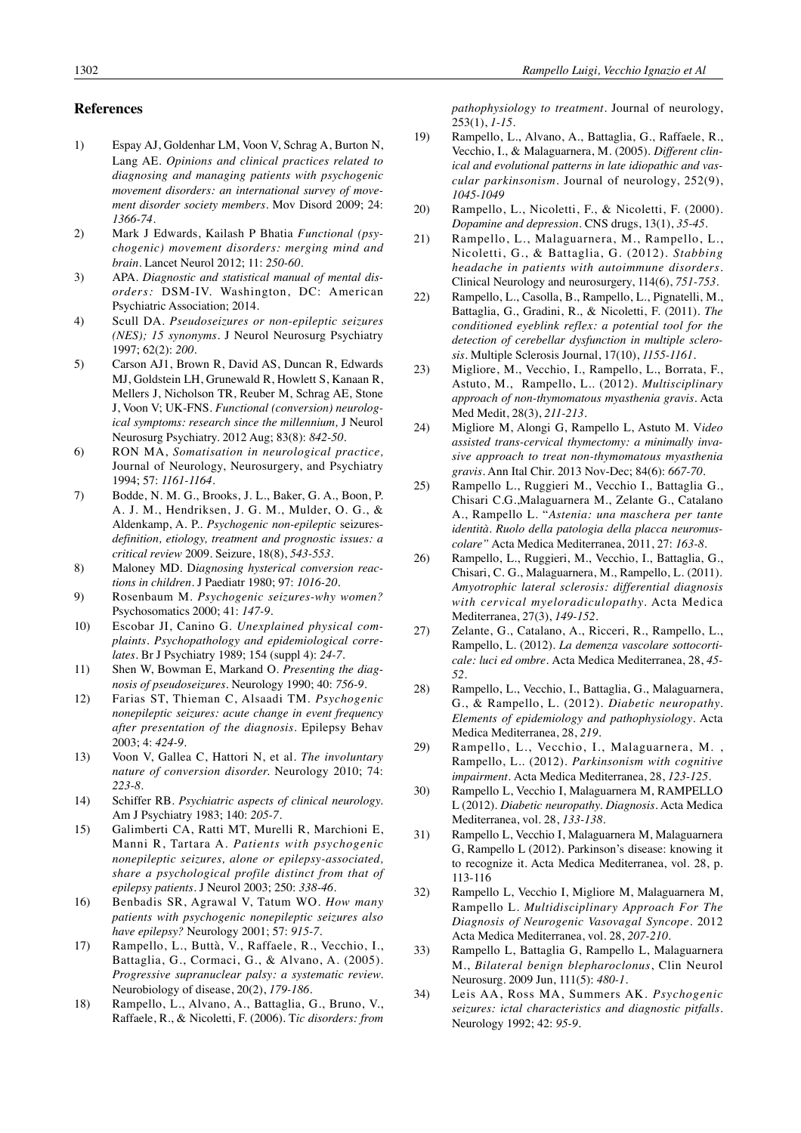## **References**

- 1) Espay AJ, Goldenhar LM, Voon V, Schrag A, Burton N, Lang AE. *Opinions and clinical practices related to diagnosing and managing patients with psychogenic movement disorders: an international survey of movement disorder society members.* Mov Disord 2009; 24: *1366-74*.
- 2) Mark J Edwards, Kailash P Bhatia *Functional (psychogenic) movement disorders: merging mind and brain*. Lancet Neurol 2012; 11: *250-60*.
- 3) APA. *Diagnostic and statistical manual of mental disorders:* DSM-IV. Washington, DC: American Psychiatric Association; 2014.
- 4) Scull DA. *Pseudoseizures or non-epileptic seizures (NES); 15 synonyms*. J Neurol Neurosurg Psychiatry 1997; 62(2): *200*.
- 5) Carson AJ1, Brown R, David AS, Duncan R, Edwards MJ, Goldstein LH, Grunewald R, Howlett S, Kanaan R, Mellers J, Nicholson TR, Reuber M, Schrag AE, Stone J, Voon V; UK-FNS. *Functional (conversion) neurological symptoms: research since the millennium,* J Neurol Neurosurg Psychiatry. 2012 Aug; 83(8): *842-50.*
- 6) RON MA, *Somatisation in neurological practice,* Journal of Neurology, Neurosurgery, and Psychiatry 1994; 57: *1161-1164*.
- 7) Bodde, N. M. G., Brooks, J. L., Baker, G. A., Boon, P. A. J. M., Hendriksen, J. G. M., Mulder, O. G., & Aldenkamp, A. P.. *Psychogenic non-epileptic* seizures*definition, etiology, treatment and prognostic issues: a critical review* 2009. Seizure, 18(8), *543-553*.
- 8) Maloney MD. D*iagnosing hysterical conversion reactions in children*. J Paediatr 1980; 97: *1016-20*.
- 9) Rosenbaum M. *Psychogenic seizures-why women?* Psychosomatics 2000; 41: *147-9*.
- 10) Escobar JI, Canino G. *Unexplained physical complaints. Psychopathology and epidemiological correlates.* Br J Psychiatry 1989; 154 (suppl 4): *24-7*.
- 11) Shen W, Bowman E, Markand O. *Presenting the diagnosis of pseudoseizures*. Neurology 1990; 40: *756-9*.
- 12) Farias ST, Thieman C, Alsaadi TM. *Psychogenic nonepileptic seizures: acute change in event frequency after presentation of the diagnosis.* Epilepsy Behav 2003; 4: *424-9*.
- 13) Voon V, Gallea C, Hattori N, et al. *The involuntary nature of conversion disorder.* Neurology 2010; 74: *223-8*.
- 14) Schiffer RB. *Psychiatric aspects of clinical neurology.* Am J Psychiatry 1983; 140: *205-7*.
- 15) Galimberti CA, Ratti MT, Murelli R, Marchioni E, Manni R, Tartara A. *Patients with psychogenic nonepileptic seizures, alone or epilepsy-associated, share a psychological profile distinct from that of epilepsy patients*. J Neurol 2003; 250: *338-46*.
- 16) Benbadis SR, Agrawal V, Tatum WO. *How many patients with psychogenic nonepileptic seizures also have epilepsy?* Neurology 2001; 57: *915-7*.
- 17) Rampello, L., Buttà, V., Raffaele, R., Vecchio, I., Battaglia, G., Cormaci, G., & Alvano, A. (2005). *Progressive supranuclear palsy: a systematic review.* Neurobiology of disease, 20(2), *179-186*.
- 18) Rampello, L., Alvano, A., Battaglia, G., Bruno, V., Raffaele, R., & Nicoletti, F. (2006). T*ic disorders: from*

*pathophysiology to treatment.* Journal of neurology, 253(1), *1-15*.

- 19) Rampello, L., Alvano, A., Battaglia, G., Raffaele, R., Vecchio, I., & Malaguarnera, M. (2005). *Different clinical and evolutional patterns in late idiopathic and vascular parkinsonism.* Journal of neurology, 252(9), *1045-1049*
- 20) Rampello, L., Nicoletti, F., & Nicoletti, F. (2000). *Dopamine and depression*. CNS drugs, 13(1), *35-45*.
- 21) Rampello, L., Malaguarnera, M., Rampello, L., Nicoletti, G., & Battaglia, G. (2012). *Stabbing headache in patients with autoimmune disorders.* Clinical Neurology and neurosurgery, 114(6), *751-753*.
- 22) Rampello, L., Casolla, B., Rampello, L., Pignatelli, M., Battaglia, G., Gradini, R., & Nicoletti, F. (2011). *The conditioned eyeblink reflex: a potential tool for the detection of cerebellar dysfunction in multiple sclerosis.* Multiple Sclerosis Journal, 17(10), *1155-1161*.
- 23) Migliore, M., Vecchio, I., Rampello, L., Borrata, F., Astuto, M., Rampello, L.. (2012). *Multisciplinary approach of non-thymomatous myasthenia gravis*. Acta Med Medit, 28(3), *211-213*.
- 24) Migliore M, Alongi G, Rampello L, Astuto M. V*ideo assisted trans-cervical thymectomy: a minimally invasive approach to treat non-thymomatous myasthenia gravis.* Ann Ital Chir. 2013 Nov-Dec; 84(6): *667-70*.
- 25) Rampello L., Ruggieri M., Vecchio I., Battaglia G., Chisari C.G.,Malaguarnera M., Zelante G., Catalano A., Rampello L. "*Astenia: una maschera per tante identità. Ruolo della patologia della placca neuromuscolare"* Acta Medica Mediterranea, 2011, 27: *163-8*.
- 26) Rampello, L., Ruggieri, M., Vecchio, I., Battaglia, G., Chisari, C. G., Malaguarnera, M., Rampello, L. (2011). *Amyotrophic lateral sclerosis: differential diagnosis with cervical myeloradiculopathy.* Acta Medica Mediterranea, 27(3), *149-152*.
- 27) Zelante, G., Catalano, A., Ricceri, R., Rampello, L., Rampello, L. (2012). *La demenza vascolare sottocorticale: luci ed ombre.* Acta Medica Mediterranea, 28, *45- 52.*
- 28) Rampello, L., Vecchio, I., Battaglia, G., Malaguarnera, G., & Rampello, L. (2012). *Diabetic neuropathy. Elements of epidemiology and pathophysiology*. Acta Medica Mediterranea, 28, *219*.
- 29) Rampello, L., Vecchio, I., Malaguarnera, M. , Rampello, L.. (2012). *Parkinsonism with cognitive impairment.* Acta Medica Mediterranea, 28, *123-125*.
- 30) Rampello L, Vecchio I, Malaguarnera M, RAMPELLO L (2012). *Diabetic neuropathy. Diagnosis*. Acta Medica Mediterranea, vol. 28, *133-138*.
- 31) Rampello L, Vecchio I, Malaguarnera M, Malaguarnera G, Rampello L (2012). Parkinson's disease: knowing it to recognize it. Acta Medica Mediterranea, vol. 28, p. 113-116
- 32) Rampello L, Vecchio I, Migliore M, Malaguarnera M, Rampello L. *Multidisciplinary Approach For The Diagnosis of Neurogenic Vasovagal Syncope.* 2012 Acta Medica Mediterranea, vol. 28, *207-210*.
- 33) Rampello L, Battaglia G, Rampello L, Malaguarnera M., *Bilateral benign blepharoclonus*, Clin Neurol Neurosurg. 2009 Jun, 111(5): *480-1*.
- 34) Leis AA, Ross MA, Summers AK. *Psychogenic seizures: ictal characteristics and diagnostic pitfalls.* Neurology 1992; 42: *95-9.*